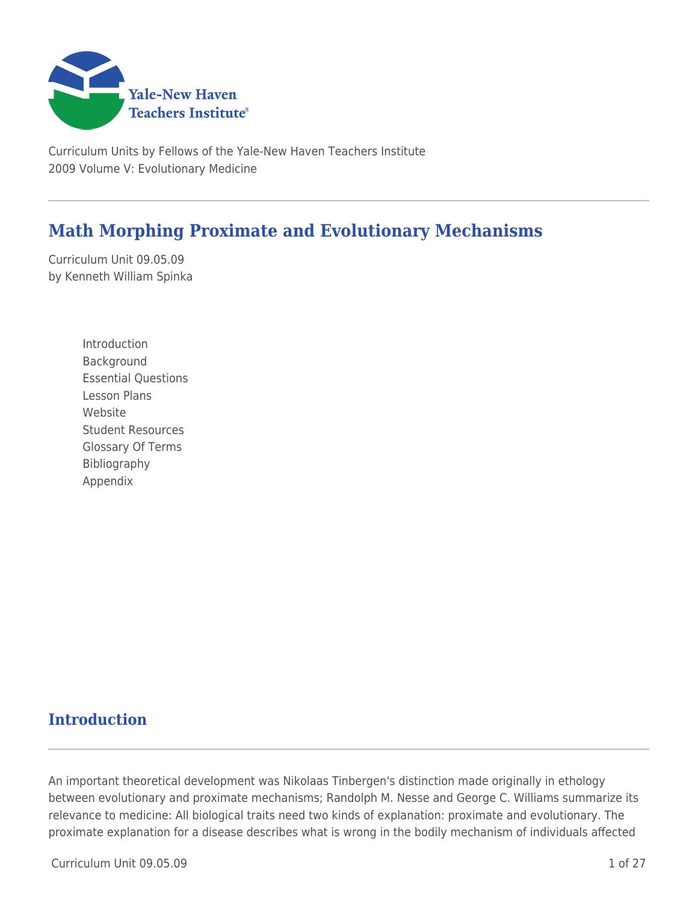

Curriculum Units by Fellows of the Yale-New Haven Teachers Institute 2009 Volume V: Evolutionary Medicine

# **Math Morphing Proximate and Evolutionary Mechanisms**

Curriculum Unit 09.05.09 by Kenneth William Spinka

> Introduction Background Essential Questions Lesson Plans Website Student Resources Glossary Of Terms Bibliography Appendix

# **Introduction**

An important theoretical development was Nikolaas Tinbergen's distinction made originally in ethology between evolutionary and proximate mechanisms; Randolph M. Nesse and George C. Williams summarize its relevance to medicine: All biological traits need two kinds of explanation: proximate and evolutionary. The proximate explanation for a disease describes what is wrong in the bodily mechanism of individuals affected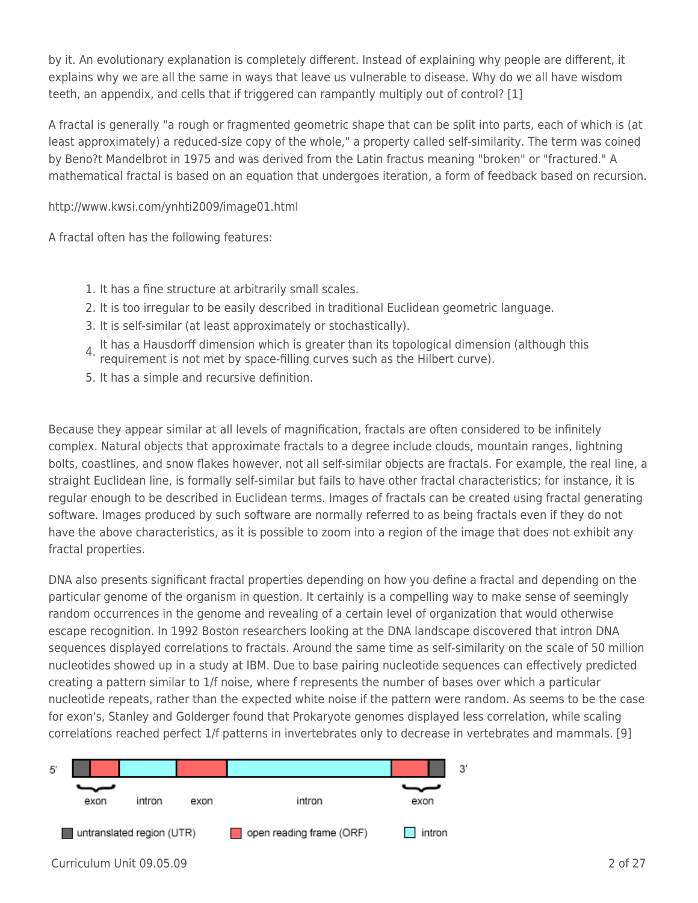by it. An evolutionary explanation is completely different. Instead of explaining why people are different, it explains why we are all the same in ways that leave us vulnerable to disease. Why do we all have wisdom teeth, an appendix, and cells that if triggered can rampantly multiply out of control? [1]

A fractal is generally "a rough or fragmented geometric shape that can be split into parts, each of which is (at least approximately) a reduced-size copy of the whole," a property called self-similarity. The term was coined by Beno?t Mandelbrot in 1975 and was derived from the Latin fractus meaning "broken" or "fractured." A mathematical fractal is based on an equation that undergoes iteration, a form of feedback based on recursion.

http://www.kwsi.com/ynhti2009/image01.html

A fractal often has the following features:

- 1. It has a fine structure at arbitrarily small scales.
- 2. It is too irregular to be easily described in traditional Euclidean geometric language.
- 3. It is self-similar (at least approximately or stochastically).
- 4. It has a Hausdorff dimension which is greater than its topological dimension (although this requirement is not met by space-filling curves such as the Hilbert curve).
- 5. It has a simple and recursive definition.

Because they appear similar at all levels of magnification, fractals are often considered to be infinitely complex. Natural objects that approximate fractals to a degree include clouds, mountain ranges, lightning bolts, coastlines, and snow flakes however, not all self-similar objects are fractals. For example, the real line, a straight Euclidean line, is formally self-similar but fails to have other fractal characteristics; for instance, it is regular enough to be described in Euclidean terms. Images of fractals can be created using fractal generating software. Images produced by such software are normally referred to as being fractals even if they do not have the above characteristics, as it is possible to zoom into a region of the image that does not exhibit any fractal properties.

DNA also presents significant fractal properties depending on how you define a fractal and depending on the particular genome of the organism in question. It certainly is a compelling way to make sense of seemingly random occurrences in the genome and revealing of a certain level of organization that would otherwise escape recognition. In 1992 Boston researchers looking at the DNA landscape discovered that intron DNA sequences displayed correlations to fractals. Around the same time as self-similarity on the scale of 50 million nucleotides showed up in a study at IBM. Due to base pairing nucleotide sequences can effectively predicted creating a pattern similar to 1/f noise, where f represents the number of bases over which a particular nucleotide repeats, rather than the expected white noise if the pattern were random. As seems to be the case for exon's, Stanley and Golderger found that Prokaryote genomes displayed less correlation, while scaling correlations reached perfect 1/f patterns in invertebrates only to decrease in vertebrates and mammals. [9]

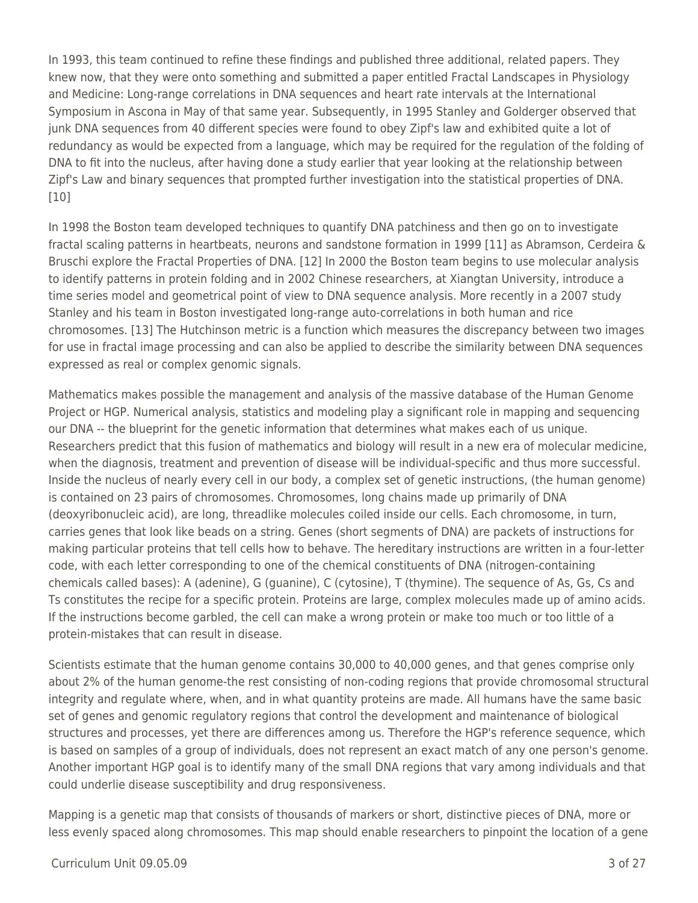In 1993, this team continued to refine these findings and published three additional, related papers. They knew now, that they were onto something and submitted a paper entitled Fractal Landscapes in Physiology and Medicine: Long-range correlations in DNA sequences and heart rate intervals at the International Symposium in Ascona in May of that same year. Subsequently, in 1995 Stanley and Golderger observed that junk DNA sequences from 40 different species were found to obey Zipf's law and exhibited quite a lot of redundancy as would be expected from a language, which may be required for the regulation of the folding of DNA to fit into the nucleus, after having done a study earlier that year looking at the relationship between Zipf's Law and binary sequences that prompted further investigation into the statistical properties of DNA. [10]

In 1998 the Boston team developed techniques to quantify DNA patchiness and then go on to investigate fractal scaling patterns in heartbeats, neurons and sandstone formation in 1999 [11] as Abramson, Cerdeira & Bruschi explore the Fractal Properties of DNA. [12] In 2000 the Boston team begins to use molecular analysis to identify patterns in protein folding and in 2002 Chinese researchers, at Xiangtan University, introduce a time series model and geometrical point of view to DNA sequence analysis. More recently in a 2007 study Stanley and his team in Boston investigated long-range auto-correlations in both human and rice chromosomes. [13] The Hutchinson metric is a function which measures the discrepancy between two images for use in fractal image processing and can also be applied to describe the similarity between DNA sequences expressed as real or complex genomic signals.

Mathematics makes possible the management and analysis of the massive database of the Human Genome Project or HGP. Numerical analysis, statistics and modeling play a significant role in mapping and sequencing our DNA -- the blueprint for the genetic information that determines what makes each of us unique. Researchers predict that this fusion of mathematics and biology will result in a new era of molecular medicine, when the diagnosis, treatment and prevention of disease will be individual-specific and thus more successful. Inside the nucleus of nearly every cell in our body, a complex set of genetic instructions, (the human genome) is contained on 23 pairs of chromosomes. Chromosomes, long chains made up primarily of DNA (deoxyribonucleic acid), are long, threadlike molecules coiled inside our cells. Each chromosome, in turn, carries genes that look like beads on a string. Genes (short segments of DNA) are packets of instructions for making particular proteins that tell cells how to behave. The hereditary instructions are written in a four-letter code, with each letter corresponding to one of the chemical constituents of DNA (nitrogen-containing chemicals called bases): A (adenine), G (guanine), C (cytosine), T (thymine). The sequence of As, Gs, Cs and Ts constitutes the recipe for a specific protein. Proteins are large, complex molecules made up of amino acids. If the instructions become garbled, the cell can make a wrong protein or make too much or too little of a protein-mistakes that can result in disease.

Scientists estimate that the human genome contains 30,000 to 40,000 genes, and that genes comprise only about 2% of the human genome-the rest consisting of non-coding regions that provide chromosomal structural integrity and regulate where, when, and in what quantity proteins are made. All humans have the same basic set of genes and genomic regulatory regions that control the development and maintenance of biological structures and processes, yet there are differences among us. Therefore the HGP's reference sequence, which is based on samples of a group of individuals, does not represent an exact match of any one person's genome. Another important HGP goal is to identify many of the small DNA regions that vary among individuals and that could underlie disease susceptibility and drug responsiveness.

Mapping is a genetic map that consists of thousands of markers or short, distinctive pieces of DNA, more or less evenly spaced along chromosomes. This map should enable researchers to pinpoint the location of a gene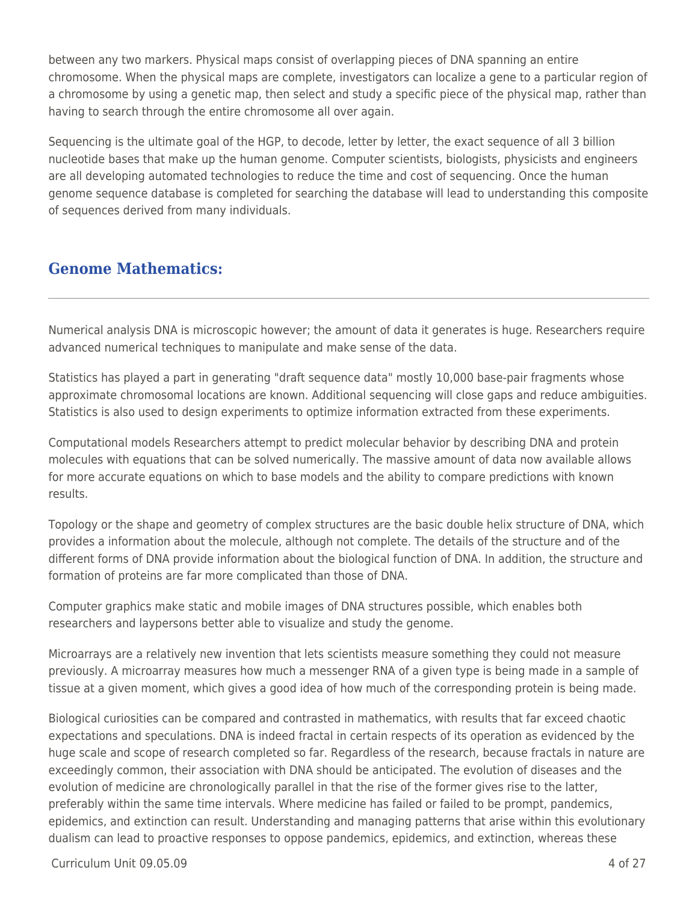between any two markers. Physical maps consist of overlapping pieces of DNA spanning an entire chromosome. When the physical maps are complete, investigators can localize a gene to a particular region of a chromosome by using a genetic map, then select and study a specific piece of the physical map, rather than having to search through the entire chromosome all over again.

Sequencing is the ultimate goal of the HGP, to decode, letter by letter, the exact sequence of all 3 billion nucleotide bases that make up the human genome. Computer scientists, biologists, physicists and engineers are all developing automated technologies to reduce the time and cost of sequencing. Once the human genome sequence database is completed for searching the database will lead to understanding this composite of sequences derived from many individuals.

## **Genome Mathematics:**

Numerical analysis DNA is microscopic however; the amount of data it generates is huge. Researchers require advanced numerical techniques to manipulate and make sense of the data.

Statistics has played a part in generating "draft sequence data" mostly 10,000 base-pair fragments whose approximate chromosomal locations are known. Additional sequencing will close gaps and reduce ambiguities. Statistics is also used to design experiments to optimize information extracted from these experiments.

Computational models Researchers attempt to predict molecular behavior by describing DNA and protein molecules with equations that can be solved numerically. The massive amount of data now available allows for more accurate equations on which to base models and the ability to compare predictions with known results.

Topology or the shape and geometry of complex structures are the basic double helix structure of DNA, which provides a information about the molecule, although not complete. The details of the structure and of the different forms of DNA provide information about the biological function of DNA. In addition, the structure and formation of proteins are far more complicated than those of DNA.

Computer graphics make static and mobile images of DNA structures possible, which enables both researchers and laypersons better able to visualize and study the genome.

Microarrays are a relatively new invention that lets scientists measure something they could not measure previously. A microarray measures how much a messenger RNA of a given type is being made in a sample of tissue at a given moment, which gives a good idea of how much of the corresponding protein is being made.

Biological curiosities can be compared and contrasted in mathematics, with results that far exceed chaotic expectations and speculations. DNA is indeed fractal in certain respects of its operation as evidenced by the huge scale and scope of research completed so far. Regardless of the research, because fractals in nature are exceedingly common, their association with DNA should be anticipated. The evolution of diseases and the evolution of medicine are chronologically parallel in that the rise of the former gives rise to the latter, preferably within the same time intervals. Where medicine has failed or failed to be prompt, pandemics, epidemics, and extinction can result. Understanding and managing patterns that arise within this evolutionary dualism can lead to proactive responses to oppose pandemics, epidemics, and extinction, whereas these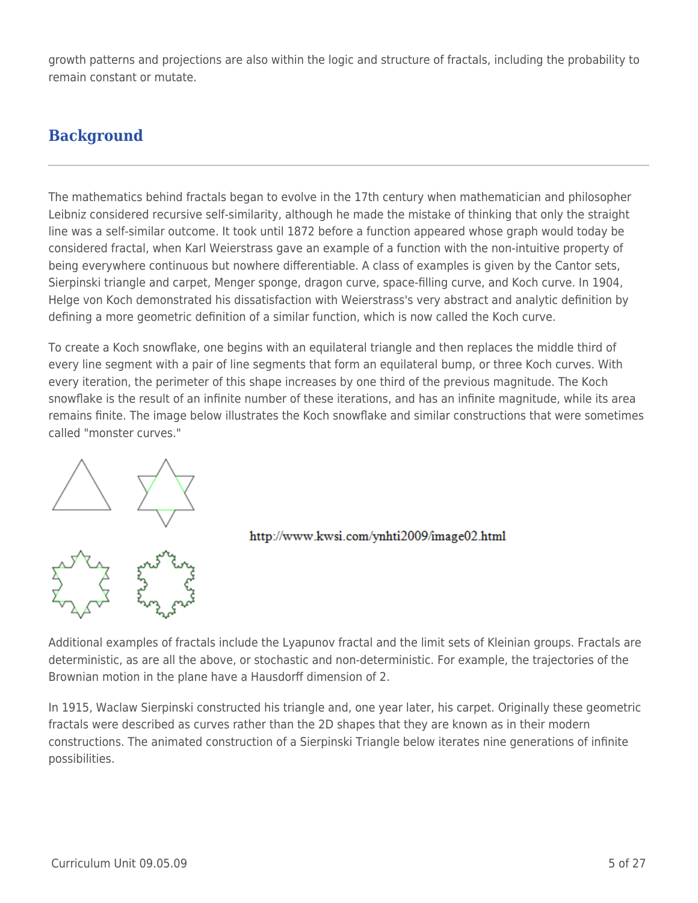growth patterns and projections are also within the logic and structure of fractals, including the probability to remain constant or mutate.

# **Background**

The mathematics behind fractals began to evolve in the 17th century when mathematician and philosopher Leibniz considered recursive self-similarity, although he made the mistake of thinking that only the straight line was a self-similar outcome. It took until 1872 before a function appeared whose graph would today be considered fractal, when Karl Weierstrass gave an example of a function with the non-intuitive property of being everywhere continuous but nowhere differentiable. A class of examples is given by the Cantor sets, Sierpinski triangle and carpet, Menger sponge, dragon curve, space-filling curve, and Koch curve. In 1904, Helge von Koch demonstrated his dissatisfaction with Weierstrass's very abstract and analytic definition by defining a more geometric definition of a similar function, which is now called the Koch curve.

To create a Koch snowflake, one begins with an equilateral triangle and then replaces the middle third of every line segment with a pair of line segments that form an equilateral bump, or three Koch curves. With every iteration, the perimeter of this shape increases by one third of the previous magnitude. The Koch snowflake is the result of an infinite number of these iterations, and has an infinite magnitude, while its area remains finite. The image below illustrates the Koch snowflake and similar constructions that were sometimes called "monster curves."





Additional examples of fractals include the Lyapunov fractal and the limit sets of Kleinian groups. Fractals are deterministic, as are all the above, or stochastic and non-deterministic. For example, the trajectories of the Brownian motion in the plane have a Hausdorff dimension of 2.

In 1915, Waclaw Sierpinski constructed his triangle and, one year later, his carpet. Originally these geometric fractals were described as curves rather than the 2D shapes that they are known as in their modern constructions. The animated construction of a Sierpinski Triangle below iterates nine generations of infinite possibilities.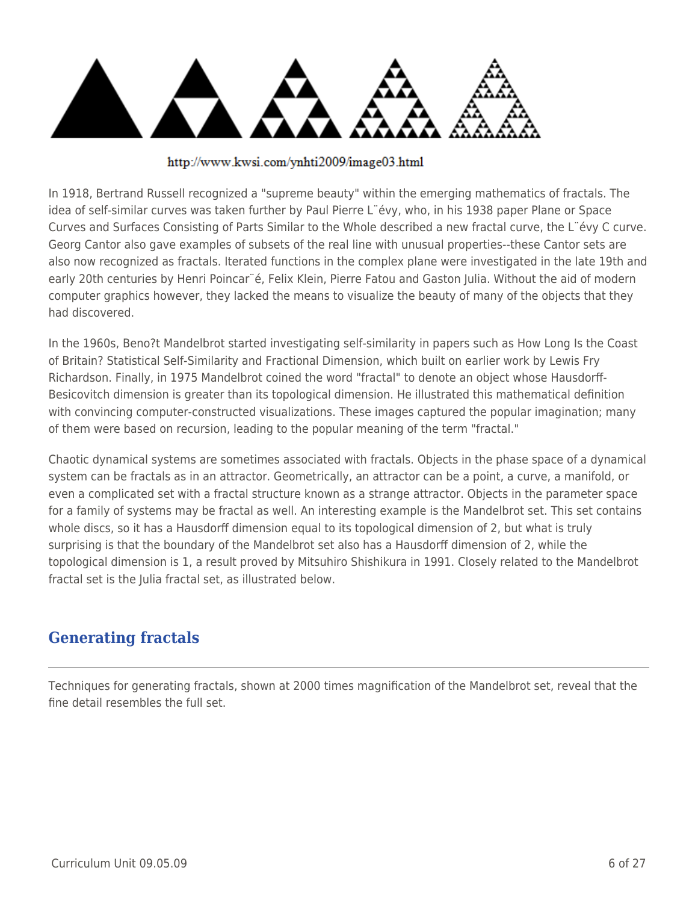

http://www.kwsi.com/ynhti2009/image03.html

In 1918, Bertrand Russell recognized a "supreme beauty" within the emerging mathematics of fractals. The idea of self-similar curves was taken further by Paul Pierre L¨évy, who, in his 1938 paper Plane or Space Curves and Surfaces Consisting of Parts Similar to the Whole described a new fractal curve, the L¨évy C curve. Georg Cantor also gave examples of subsets of the real line with unusual properties--these Cantor sets are also now recognized as fractals. Iterated functions in the complex plane were investigated in the late 19th and early 20th centuries by Henri Poincar¨é, Felix Klein, Pierre Fatou and Gaston Julia. Without the aid of modern computer graphics however, they lacked the means to visualize the beauty of many of the objects that they had discovered.

In the 1960s, Beno?t Mandelbrot started investigating self-similarity in papers such as How Long Is the Coast of Britain? Statistical Self-Similarity and Fractional Dimension, which built on earlier work by Lewis Fry Richardson. Finally, in 1975 Mandelbrot coined the word "fractal" to denote an object whose Hausdorff-Besicovitch dimension is greater than its topological dimension. He illustrated this mathematical definition with convincing computer-constructed visualizations. These images captured the popular imagination; many of them were based on recursion, leading to the popular meaning of the term "fractal."

Chaotic dynamical systems are sometimes associated with fractals. Objects in the phase space of a dynamical system can be fractals as in an attractor. Geometrically, an attractor can be a point, a curve, a manifold, or even a complicated set with a fractal structure known as a strange attractor. Objects in the parameter space for a family of systems may be fractal as well. An interesting example is the Mandelbrot set. This set contains whole discs, so it has a Hausdorff dimension equal to its topological dimension of 2, but what is truly surprising is that the boundary of the Mandelbrot set also has a Hausdorff dimension of 2, while the topological dimension is 1, a result proved by Mitsuhiro Shishikura in 1991. Closely related to the Mandelbrot fractal set is the Julia fractal set, as illustrated below.

# **Generating fractals**

Techniques for generating fractals, shown at 2000 times magnification of the Mandelbrot set, reveal that the fine detail resembles the full set.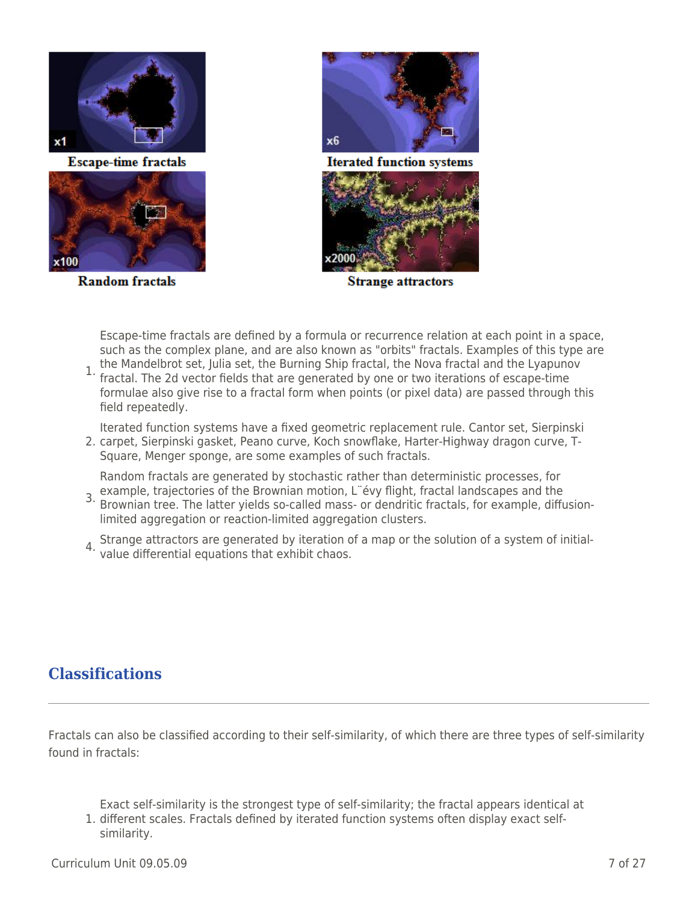

**Escape-time fractals** 



**Random fractals** 



**Iterated function systems** 



**Strange attractors** 

Escape-time fractals are defined by a formula or recurrence relation at each point in a space, such as the complex plane, and are also known as "orbits" fractals. Examples of this type are the Mandelbrot set, Julia set, the Burning Ship fractal, the Nova fractal and the Lyapunov

1. fractal. The 2d vector fields that are generated by one or two iterations of escape-time formulae also give rise to a fractal form when points (or pixel data) are passed through this field repeatedly.

Iterated function systems have a fixed geometric replacement rule. Cantor set, Sierpinski

2. carpet, Sierpinski gasket, Peano curve, Koch snowflake, Harter-Highway dragon curve, T-Square, Menger sponge, are some examples of such fractals.

Random fractals are generated by stochastic rather than deterministic processes, for

- 3. example, trajectories of the Brownian motion, L¨évy flight, fractal landscapes and the<br>3. Brownian tree, The latter vields se salled mass, er dendritis fractals, for example, diffi Brownian tree. The latter yields so-called mass- or dendritic fractals, for example, diffusionlimited aggregation or reaction-limited aggregation clusters.
- 4. Strange attractors are generated by iteration of a map or the solution of a system of initial-value differential equations that exhibit chaos.

## **Classifications**

Fractals can also be classified according to their self-similarity, of which there are three types of self-similarity found in fractals:

1. different scales. Fractals defined by iterated function systems often display exact self-Exact self-similarity is the strongest type of self-similarity; the fractal appears identical at similarity.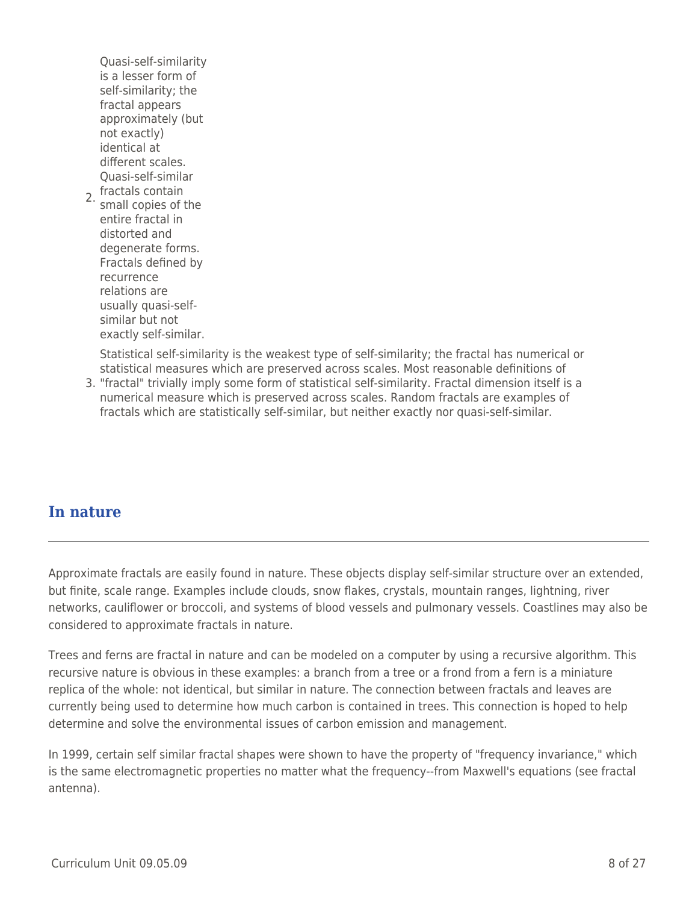2. fractals contain<br>2. small conies of Quasi-self-similarity is a lesser form of self-similarity; the fractal appears approximately (but not exactly) identical at different scales. Quasi-self-similar small copies of the entire fractal in distorted and degenerate forms. Fractals defined by recurrence relations are usually quasi-selfsimilar but not exactly self-similar.

Statistical self-similarity is the weakest type of self-similarity; the fractal has numerical or statistical measures which are preserved across scales. Most reasonable definitions of

3. "fractal" trivially imply some form of statistical self-similarity. Fractal dimension itself is a numerical measure which is preserved across scales. Random fractals are examples of fractals which are statistically self-similar, but neither exactly nor quasi-self-similar.

## **In nature**

Approximate fractals are easily found in nature. These objects display self-similar structure over an extended, but finite, scale range. Examples include clouds, snow flakes, crystals, mountain ranges, lightning, river networks, cauliflower or broccoli, and systems of blood vessels and pulmonary vessels. Coastlines may also be considered to approximate fractals in nature.

Trees and ferns are fractal in nature and can be modeled on a computer by using a recursive algorithm. This recursive nature is obvious in these examples: a branch from a tree or a frond from a fern is a miniature replica of the whole: not identical, but similar in nature. The connection between fractals and leaves are currently being used to determine how much carbon is contained in trees. This connection is hoped to help determine and solve the environmental issues of carbon emission and management.

In 1999, certain self similar fractal shapes were shown to have the property of "frequency invariance," which is the same electromagnetic properties no matter what the frequency--from Maxwell's equations (see fractal antenna).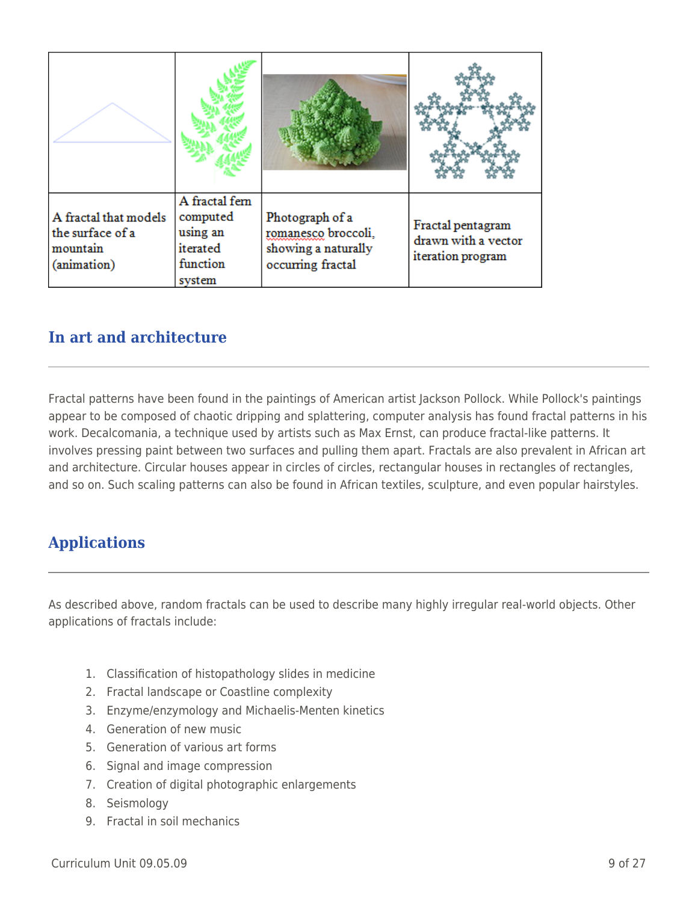| A fractal that models<br>the surface of a<br>mountain<br>(animation) | A fractal fem<br>computed<br>using an<br>iterated<br>function<br>system | Photograph of a<br>romanesco broccoli,<br>showing a naturally<br>occurring fractal | Fractal pentagram<br>drawn with a vector<br>iteration program |
|----------------------------------------------------------------------|-------------------------------------------------------------------------|------------------------------------------------------------------------------------|---------------------------------------------------------------|

## **In art and architecture**

Fractal patterns have been found in the paintings of American artist Jackson Pollock. While Pollock's paintings appear to be composed of chaotic dripping and splattering, computer analysis has found fractal patterns in his work. Decalcomania, a technique used by artists such as Max Ernst, can produce fractal-like patterns. It involves pressing paint between two surfaces and pulling them apart. Fractals are also prevalent in African art and architecture. Circular houses appear in circles of circles, rectangular houses in rectangles of rectangles, and so on. Such scaling patterns can also be found in African textiles, sculpture, and even popular hairstyles.

# **Applications**

As described above, random fractals can be used to describe many highly irregular real-world objects. Other applications of fractals include:

- 1. Classification of histopathology slides in medicine
- 2. Fractal landscape or Coastline complexity
- 3. Enzyme/enzymology and Michaelis-Menten kinetics
- 4. Generation of new music
- 5. Generation of various art forms
- 6. Signal and image compression
- 7. Creation of digital photographic enlargements
- 8. Seismology
- 9. Fractal in soil mechanics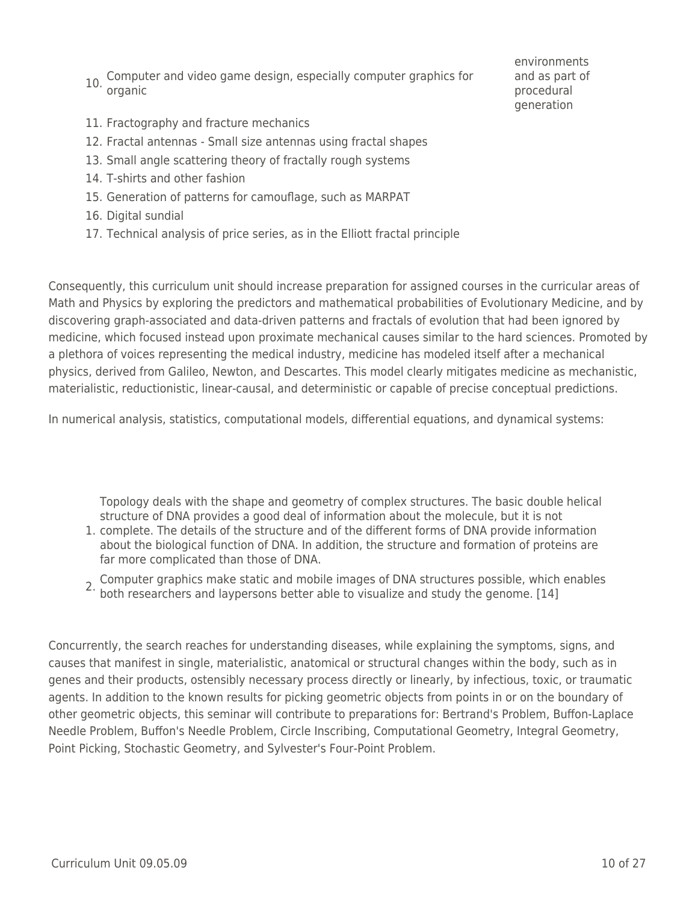- 10. Computer and video game design, especially computer graphics for organic
- environments and as part of procedural generation

- 11. Fractography and fracture mechanics
- 12. Fractal antennas Small size antennas using fractal shapes
- 13. Small angle scattering theory of fractally rough systems
- 14. T-shirts and other fashion
- 15. Generation of patterns for camouflage, such as MARPAT
- 16. Digital sundial
- 17. Technical analysis of price series, as in the Elliott fractal principle

Consequently, this curriculum unit should increase preparation for assigned courses in the curricular areas of Math and Physics by exploring the predictors and mathematical probabilities of Evolutionary Medicine, and by discovering graph-associated and data-driven patterns and fractals of evolution that had been ignored by medicine, which focused instead upon proximate mechanical causes similar to the hard sciences. Promoted by a plethora of voices representing the medical industry, medicine has modeled itself after a mechanical physics, derived from Galileo, Newton, and Descartes. This model clearly mitigates medicine as mechanistic, materialistic, reductionistic, linear-causal, and deterministic or capable of precise conceptual predictions.

In numerical analysis, statistics, computational models, differential equations, and dynamical systems:

Topology deals with the shape and geometry of complex structures. The basic double helical structure of DNA provides a good deal of information about the molecule, but it is not

- 1. complete. The details of the structure and of the different forms of DNA provide information about the biological function of DNA. In addition, the structure and formation of proteins are far more complicated than those of DNA.
- 2. Computer graphics make static and mobile images of DNA structures possible, which enables<br><sup>2.</sup> both researchers and laypersons better able to visualize and study the genome. [14]

Concurrently, the search reaches for understanding diseases, while explaining the symptoms, signs, and causes that manifest in single, materialistic, anatomical or structural changes within the body, such as in genes and their products, ostensibly necessary process directly or linearly, by infectious, toxic, or traumatic agents. In addition to the known results for picking geometric objects from points in or on the boundary of other geometric objects, this seminar will contribute to preparations for: Bertrand's Problem, Buffon-Laplace Needle Problem, Buffon's Needle Problem, Circle Inscribing, Computational Geometry, Integral Geometry, Point Picking, Stochastic Geometry, and Sylvester's Four-Point Problem.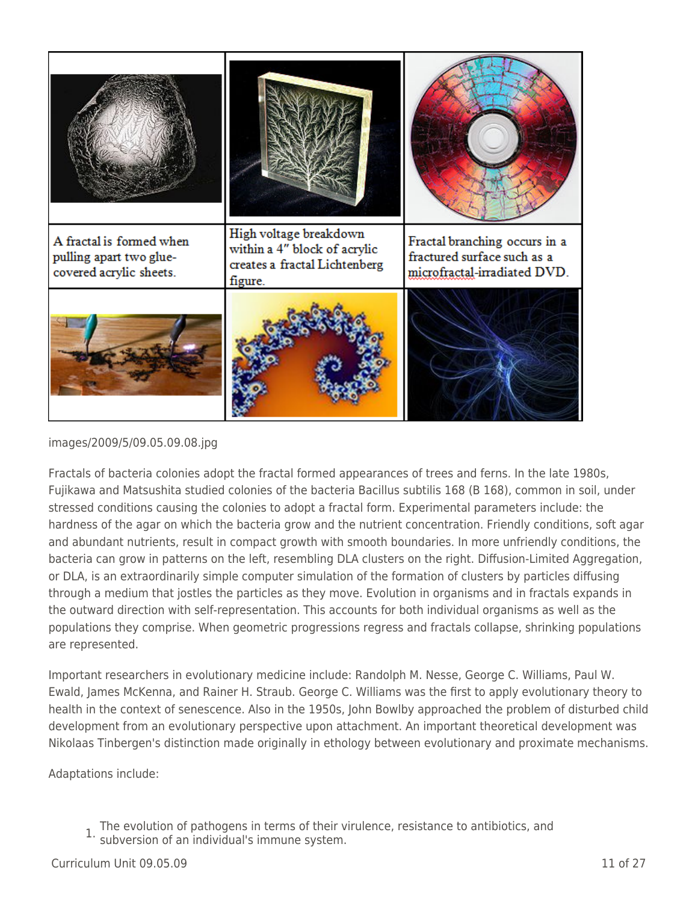

images/2009/5/09.05.09.08.jpg

Fractals of bacteria colonies adopt the fractal formed appearances of trees and ferns. In the late 1980s, Fujikawa and Matsushita studied colonies of the bacteria Bacillus subtilis 168 (B 168), common in soil, under stressed conditions causing the colonies to adopt a fractal form. Experimental parameters include: the hardness of the agar on which the bacteria grow and the nutrient concentration. Friendly conditions, soft agar and abundant nutrients, result in compact growth with smooth boundaries. In more unfriendly conditions, the bacteria can grow in patterns on the left, resembling DLA clusters on the right. Diffusion-Limited Aggregation, or DLA, is an extraordinarily simple computer simulation of the formation of clusters by particles diffusing through a medium that jostles the particles as they move. Evolution in organisms and in fractals expands in the outward direction with self-representation. This accounts for both individual organisms as well as the populations they comprise. When geometric progressions regress and fractals collapse, shrinking populations are represented.

Important researchers in evolutionary medicine include: Randolph M. Nesse, George C. Williams, Paul W. Ewald, James McKenna, and Rainer H. Straub. George C. Williams was the first to apply evolutionary theory to health in the context of senescence. Also in the 1950s, John Bowlby approached the problem of disturbed child development from an evolutionary perspective upon attachment. An important theoretical development was Nikolaas Tinbergen's distinction made originally in ethology between evolutionary and proximate mechanisms.

Adaptations include:

1. The evolution of pathogens in terms of their virulence, resistance to antibiotics, and subversion of an individual's immune system.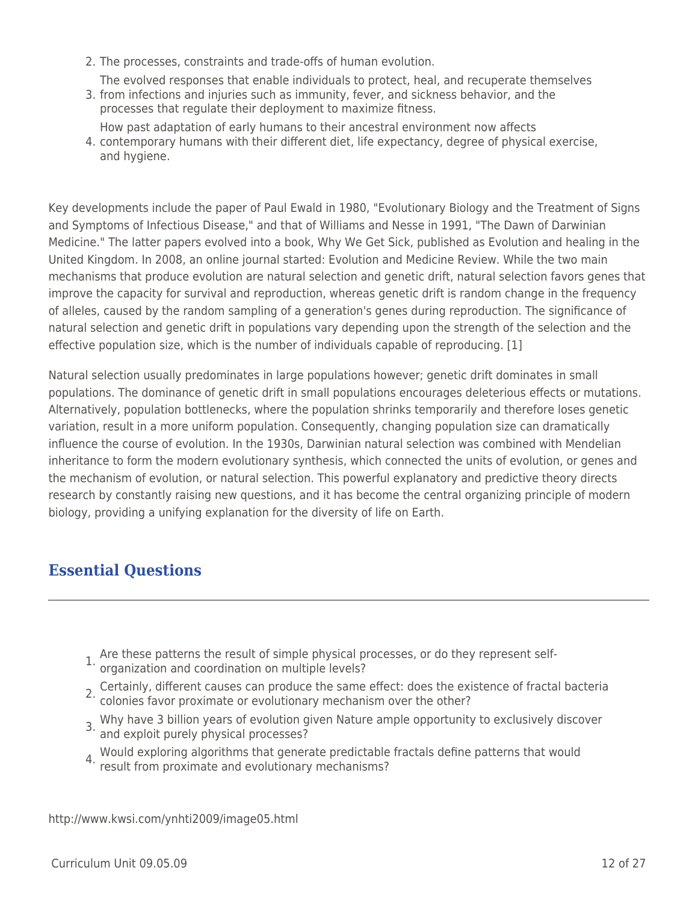- 2. The processes, constraints and trade-offs of human evolution.
- The evolved responses that enable individuals to protect, heal, and recuperate themselves
- 3. from infections and injuries such as immunity, fever, and sickness behavior, and the processes that regulate their deployment to maximize fitness.
- 4. contemporary humans with their different diet, life expectancy, degree of physical exercise, How past adaptation of early humans to their ancestral environment now affects and hygiene.

Key developments include the paper of Paul Ewald in 1980, "Evolutionary Biology and the Treatment of Signs and Symptoms of Infectious Disease," and that of Williams and Nesse in 1991, "The Dawn of Darwinian Medicine." The latter papers evolved into a book, Why We Get Sick, published as Evolution and healing in the United Kingdom. In 2008, an online journal started: Evolution and Medicine Review. While the two main mechanisms that produce evolution are natural selection and genetic drift, natural selection favors genes that improve the capacity for survival and reproduction, whereas genetic drift is random change in the frequency of alleles, caused by the random sampling of a generation's genes during reproduction. The significance of natural selection and genetic drift in populations vary depending upon the strength of the selection and the effective population size, which is the number of individuals capable of reproducing. [1]

Natural selection usually predominates in large populations however; genetic drift dominates in small populations. The dominance of genetic drift in small populations encourages deleterious effects or mutations. Alternatively, population bottlenecks, where the population shrinks temporarily and therefore loses genetic variation, result in a more uniform population. Consequently, changing population size can dramatically influence the course of evolution. In the 1930s, Darwinian natural selection was combined with Mendelian inheritance to form the modern evolutionary synthesis, which connected the units of evolution, or genes and the mechanism of evolution, or natural selection. This powerful explanatory and predictive theory directs research by constantly raising new questions, and it has become the central organizing principle of modern biology, providing a unifying explanation for the diversity of life on Earth.

# **Essential Questions**

- 1. Are these patterns the result of simple physical processes, or do they represent self-organization and coordination on multiple levels?
- 
- 2. Certainly, different causes can produce the same effect: does the existence of fractal bacteria colonies favor proximate or evolutionary mechanism over the other?
- 3. Why have 3 billion years of evolution given Nature ample opportunity to exclusively discover and exploit purely physical processes?
- 4. Would exploring algorithms that generate predictable fractals define patterns that would result from proximate and evolutionary mechanisms?

http://www.kwsi.com/ynhti2009/image05.html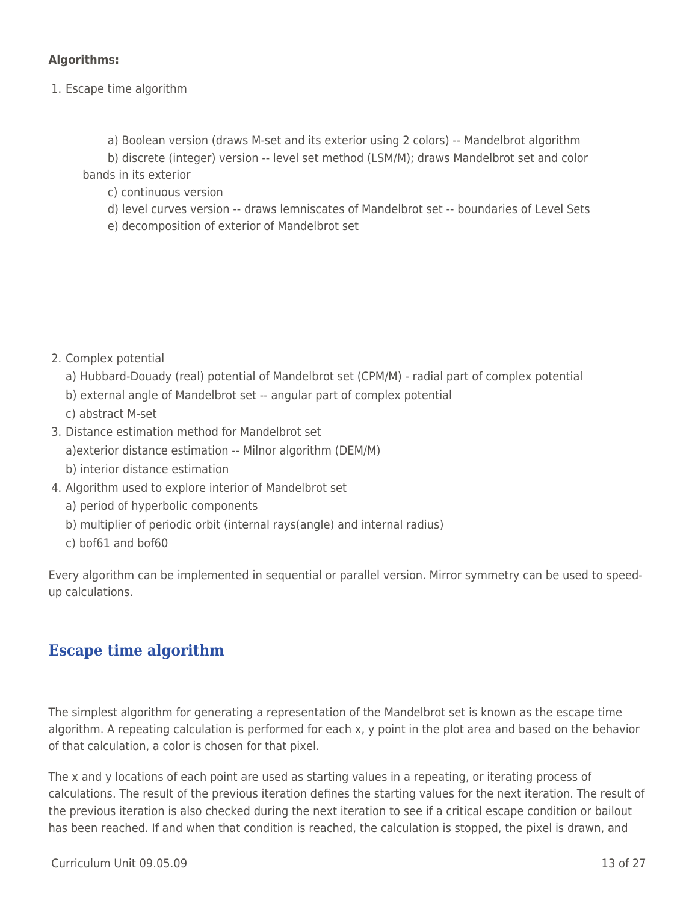### **Algorithms:**

- 1. Escape time algorithm
	- a) Boolean version (draws M-set and its exterior using 2 colors) -- Mandelbrot algorithm

b) discrete (integer) version -- level set method (LSM/M); draws Mandelbrot set and color bands in its exterior

\_\_\_\_ c) continuous version

\_\_\_\_ d) level curves version -- draws lemniscates of Mandelbrot set -- boundaries of Level Sets

e) decomposition of exterior of Mandelbrot set

2. Complex potential

- a) Hubbard-Douady (real) potential of Mandelbrot set (CPM/M) radial part of complex potential
- b) external angle of Mandelbrot set -- angular part of complex potential
- c) abstract M-set
- 3. Distance estimation method for Mandelbrot set
	- a)exterior distance estimation -- Milnor algorithm (DEM/M)
	- b) interior distance estimation
- 4. Algorithm used to explore interior of Mandelbrot set
	- a) period of hyperbolic components
	- b) multiplier of periodic orbit (internal rays(angle) and internal radius)
	- c) bof61 and bof60

Every algorithm can be implemented in sequential or parallel version. Mirror symmetry can be used to speedup calculations.

# **Escape time algorithm**

The simplest algorithm for generating a representation of the Mandelbrot set is known as the escape time algorithm. A repeating calculation is performed for each x, y point in the plot area and based on the behavior of that calculation, a color is chosen for that pixel.

The x and y locations of each point are used as starting values in a repeating, or iterating process of calculations. The result of the previous iteration defines the starting values for the next iteration. The result of the previous iteration is also checked during the next iteration to see if a critical escape condition or bailout has been reached. If and when that condition is reached, the calculation is stopped, the pixel is drawn, and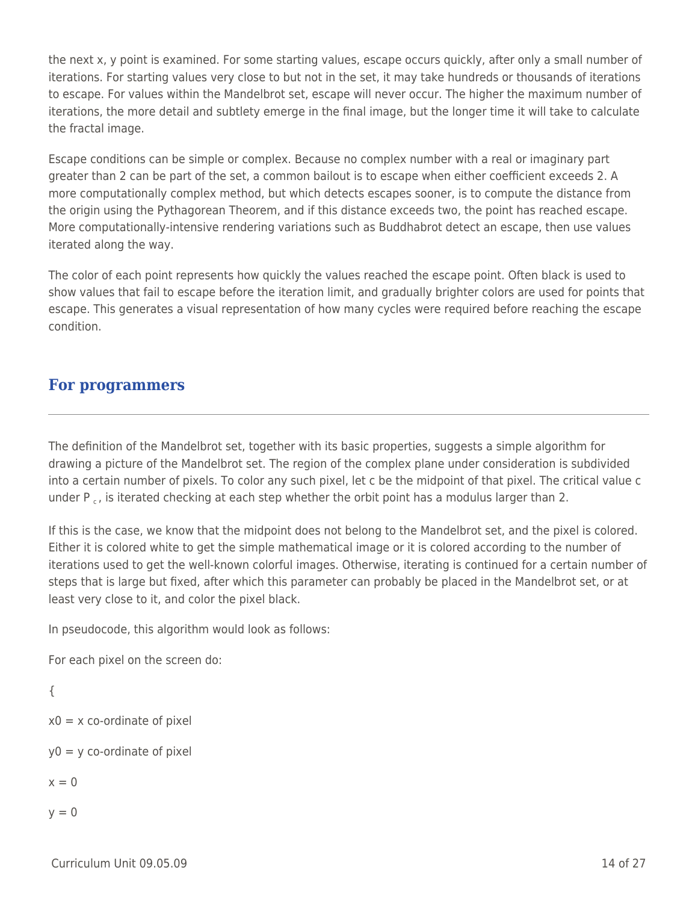the next x, y point is examined. For some starting values, escape occurs quickly, after only a small number of iterations. For starting values very close to but not in the set, it may take hundreds or thousands of iterations to escape. For values within the Mandelbrot set, escape will never occur. The higher the maximum number of iterations, the more detail and subtlety emerge in the final image, but the longer time it will take to calculate the fractal image.

Escape conditions can be simple or complex. Because no complex number with a real or imaginary part greater than 2 can be part of the set, a common bailout is to escape when either coefficient exceeds 2. A more computationally complex method, but which detects escapes sooner, is to compute the distance from the origin using the Pythagorean Theorem, and if this distance exceeds two, the point has reached escape. More computationally-intensive rendering variations such as Buddhabrot detect an escape, then use values iterated along the way.

The color of each point represents how quickly the values reached the escape point. Often black is used to show values that fail to escape before the iteration limit, and gradually brighter colors are used for points that escape. This generates a visual representation of how many cycles were required before reaching the escape condition.

## **For programmers**

The definition of the Mandelbrot set, together with its basic properties, suggests a simple algorithm for drawing a picture of the Mandelbrot set. The region of the complex plane under consideration is subdivided into a certain number of pixels. To color any such pixel, let c be the midpoint of that pixel. The critical value c under  $P_c$ , is iterated checking at each step whether the orbit point has a modulus larger than 2.

If this is the case, we know that the midpoint does not belong to the Mandelbrot set, and the pixel is colored. Either it is colored white to get the simple mathematical image or it is colored according to the number of iterations used to get the well-known colorful images. Otherwise, iterating is continued for a certain number of steps that is large but fixed, after which this parameter can probably be placed in the Mandelbrot set, or at least very close to it, and color the pixel black.

In pseudocode, this algorithm would look as follows:

For each pixel on the screen do:

```
{
x0 = x co-ordinate of pixel
y0 = y co-ordinate of pixel
x = 0
```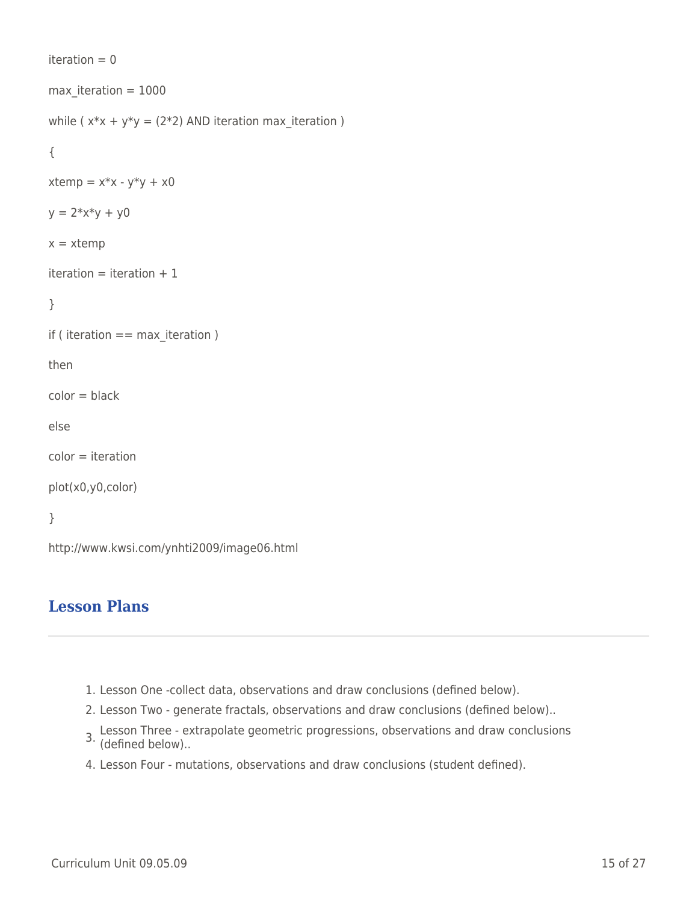```
iteration = 0max iteration = 1000while (x*x + y*y = (2*2) AND iteration max iteration )
{
xtemp = x*x - y*y + x0y = 2*x*y + y0x = xtemp
iteration = iteration +1}
if ( iteration == max iteration )
then
color = blackelse
color = iteration
plot(x0,y0,color)
}
http://www.kwsi.com/ynhti2009/image06.html
```
# **Lesson Plans**

- 1. Lesson One -collect data, observations and draw conclusions (defined below).
- 2. Lesson Two generate fractals, observations and draw conclusions (defined below)..
- 3. Lesson Three extrapolate geometric progressions, observations and draw conclusions (defined below)..
- 4. Lesson Four mutations, observations and draw conclusions (student defined).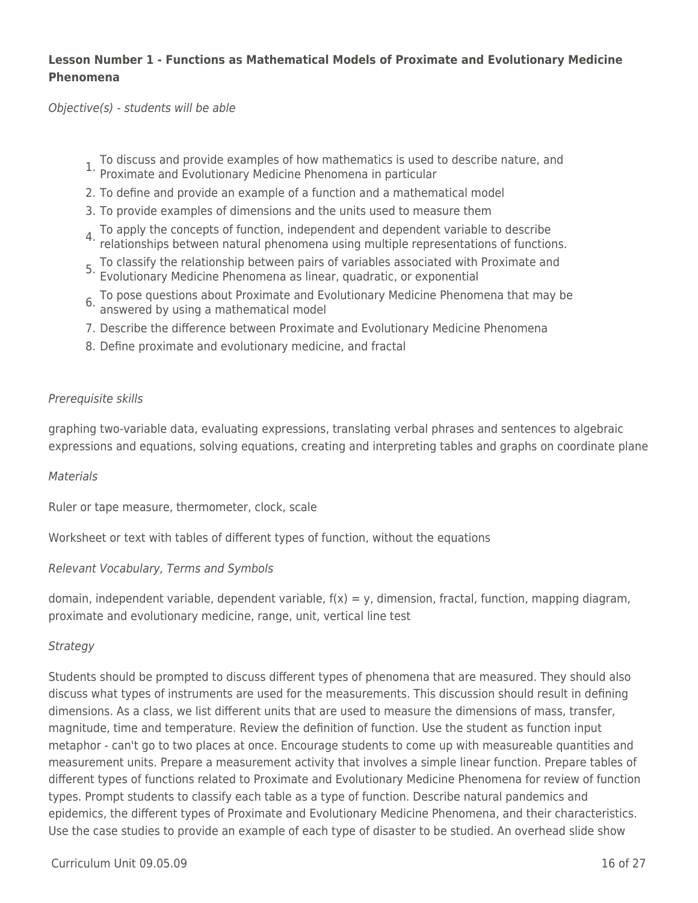## **Lesson Number 1 - Functions as Mathematical Models of Proximate and Evolutionary Medicine Phenomena**

Objective(s) - students will be able

- 1. To discuss and provide examples of how mathematics is used to describe nature, and Proximate and Evolutionary Medicine Phenomena in particular
- 2. To define and provide an example of a function and a mathematical model
- 3. To provide examples of dimensions and the units used to measure them
- 4. To apply the concepts of function, independent and dependent variable to describe relationships between natural phenomena using multiple representations of functions.
- 5. To classify the relationship between pairs of variables associated with Proximate and Evolutionary Medicine Phenomena as linear, quadratic, or exponential
- 6. To pose questions about Proximate and Evolutionary Medicine Phenomena that may be answered by using a mathematical model
- 7. Describe the difference between Proximate and Evolutionary Medicine Phenomena
- 8. Define proximate and evolutionary medicine, and fractal

### Prerequisite skills

graphing two-variable data, evaluating expressions, translating verbal phrases and sentences to algebraic expressions and equations, solving equations, creating and interpreting tables and graphs on coordinate plane

### **Materials**

Ruler or tape measure, thermometer, clock, scale

Worksheet or text with tables of different types of function, without the equations

### Relevant Vocabulary, Terms and Symbols

domain, independent variable, dependent variable,  $f(x) = y$ , dimension, fractal, function, mapping diagram, proximate and evolutionary medicine, range, unit, vertical line test

### **Strategy**

Students should be prompted to discuss different types of phenomena that are measured. They should also discuss what types of instruments are used for the measurements. This discussion should result in defining dimensions. As a class, we list different units that are used to measure the dimensions of mass, transfer, magnitude, time and temperature. Review the definition of function. Use the student as function input metaphor - can't go to two places at once. Encourage students to come up with measureable quantities and measurement units. Prepare a measurement activity that involves a simple linear function. Prepare tables of different types of functions related to Proximate and Evolutionary Medicine Phenomena for review of function types. Prompt students to classify each table as a type of function. Describe natural pandemics and epidemics, the different types of Proximate and Evolutionary Medicine Phenomena, and their characteristics. Use the case studies to provide an example of each type of disaster to be studied. An overhead slide show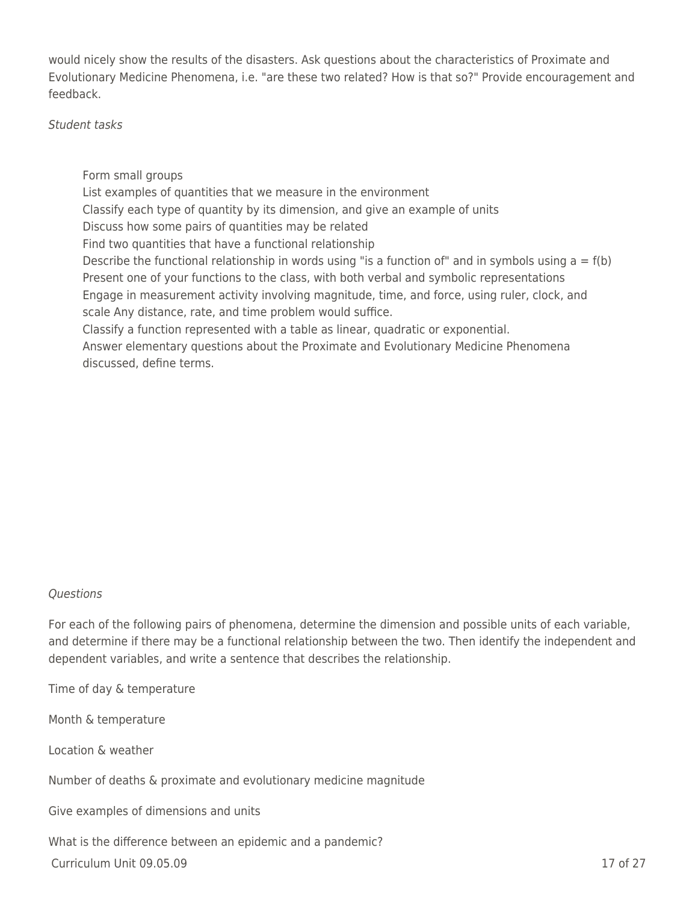would nicely show the results of the disasters. Ask questions about the characteristics of Proximate and Evolutionary Medicine Phenomena, i.e. "are these two related? How is that so?" Provide encouragement and feedback.

Student tasks

Form small groups List examples of quantities that we measure in the environment Classify each type of quantity by its dimension, and give an example of units Discuss how some pairs of quantities may be related Find two quantities that have a functional relationship Describe the functional relationship in words using "is a function of" and in symbols using  $a = f(b)$ Present one of your functions to the class, with both verbal and symbolic representations Engage in measurement activity involving magnitude, time, and force, using ruler, clock, and scale Any distance, rate, and time problem would suffice. Classify a function represented with a table as linear, quadratic or exponential. Answer elementary questions about the Proximate and Evolutionary Medicine Phenomena discussed, define terms.

### Questions

For each of the following pairs of phenomena, determine the dimension and possible units of each variable, and determine if there may be a functional relationship between the two. Then identify the independent and dependent variables, and write a sentence that describes the relationship.

Time of day & temperature

Month & temperature

Location & weather

Number of deaths & proximate and evolutionary medicine magnitude

Give examples of dimensions and units

What is the difference between an epidemic and a pandemic?

 $Curriculum$  Unit  $09.05.09$   $17 \text{ of } 27$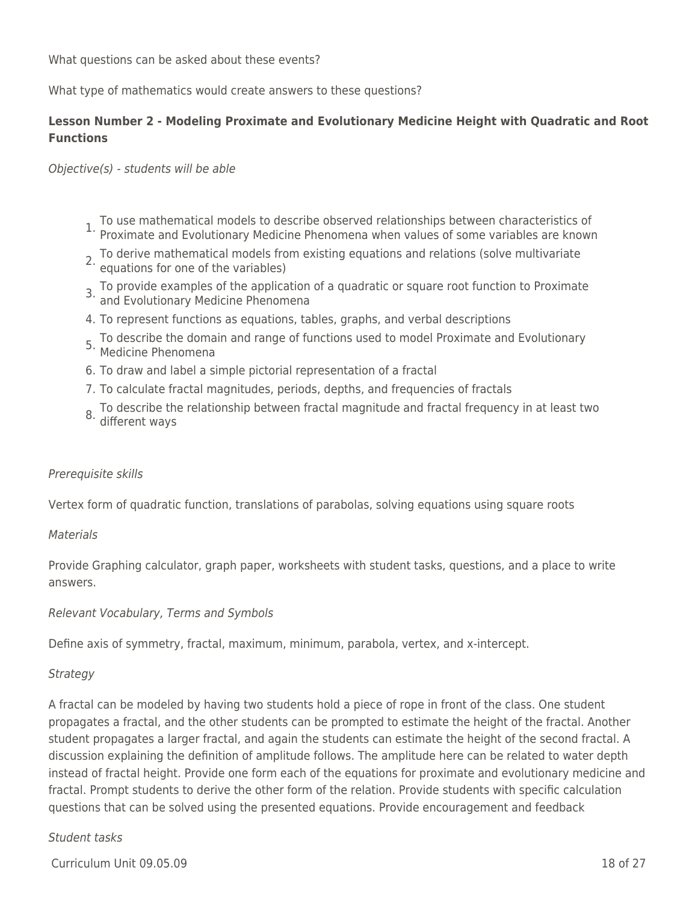What questions can be asked about these events?

What type of mathematics would create answers to these questions?

## **Lesson Number 2 - Modeling Proximate and Evolutionary Medicine Height with Quadratic and Root Functions**

Objective(s) - students will be able

- 1. To use mathematical models to describe observed relationships between characteristics of Proximate and Evolutionary Medicine Phenomena when values of some variables are known
- 2. To derive mathematical models from existing equations and relations (solve multivariate equations for one of the variables)
- 3. To provide examples of the application of a quadratic or square root function to Proximate and Evolutionary Medicine Phenomena
- 4. To represent functions as equations, tables, graphs, and verbal descriptions
- 5. To describe the domain and range of functions used to model Proximate and Evolutionary Medicine Phenomena
- 6. To draw and label a simple pictorial representation of a fractal
- 7. To calculate fractal magnitudes, periods, depths, and frequencies of fractals
- 8. To describe the relationship between fractal magnitude and fractal frequency in at least two different ways

### Prerequisite skills

Vertex form of quadratic function, translations of parabolas, solving equations using square roots

### **Materials**

Provide Graphing calculator, graph paper, worksheets with student tasks, questions, and a place to write answers.

Relevant Vocabulary, Terms and Symbols

Define axis of symmetry, fractal, maximum, minimum, parabola, vertex, and x-intercept.

### **Strategy**

A fractal can be modeled by having two students hold a piece of rope in front of the class. One student propagates a fractal, and the other students can be prompted to estimate the height of the fractal. Another student propagates a larger fractal, and again the students can estimate the height of the second fractal. A discussion explaining the definition of amplitude follows. The amplitude here can be related to water depth instead of fractal height. Provide one form each of the equations for proximate and evolutionary medicine and fractal. Prompt students to derive the other form of the relation. Provide students with specific calculation questions that can be solved using the presented equations. Provide encouragement and feedback

### Student tasks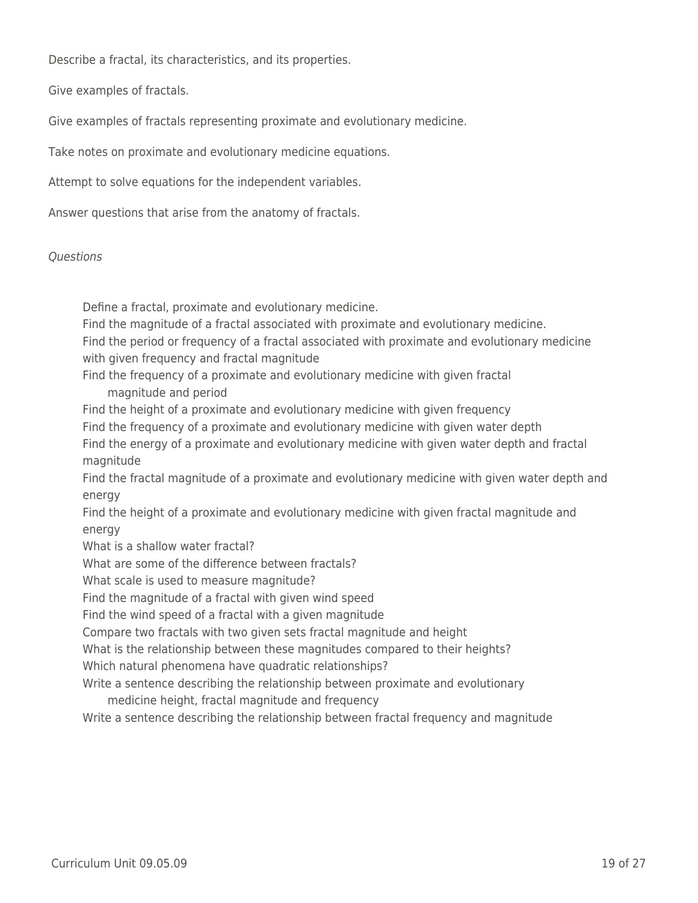Describe a fractal, its characteristics, and its properties.

Give examples of fractals.

Give examples of fractals representing proximate and evolutionary medicine.

Take notes on proximate and evolutionary medicine equations.

Attempt to solve equations for the independent variables.

Answer questions that arise from the anatomy of fractals.

### **Ouestions**

Define a fractal, proximate and evolutionary medicine.

Find the magnitude of a fractal associated with proximate and evolutionary medicine.

Find the period or frequency of a fractal associated with proximate and evolutionary medicine with given frequency and fractal magnitude

Find the frequency of a proximate and evolutionary medicine with given fractal \_\_\_\_ magnitude and period

Find the height of a proximate and evolutionary medicine with given frequency

Find the frequency of a proximate and evolutionary medicine with given water depth

Find the energy of a proximate and evolutionary medicine with given water depth and fractal magnitude

Find the fractal magnitude of a proximate and evolutionary medicine with given water depth and energy

Find the height of a proximate and evolutionary medicine with given fractal magnitude and energy

What is a shallow water fractal?

What are some of the difference between fractals?

What scale is used to measure magnitude?

Find the magnitude of a fractal with given wind speed

Find the wind speed of a fractal with a given magnitude

Compare two fractals with two given sets fractal magnitude and height

What is the relationship between these magnitudes compared to their heights?

Which natural phenomena have quadratic relationships?

Write a sentence describing the relationship between proximate and evolutionary

medicine height, fractal magnitude and frequency

Write a sentence describing the relationship between fractal frequency and magnitude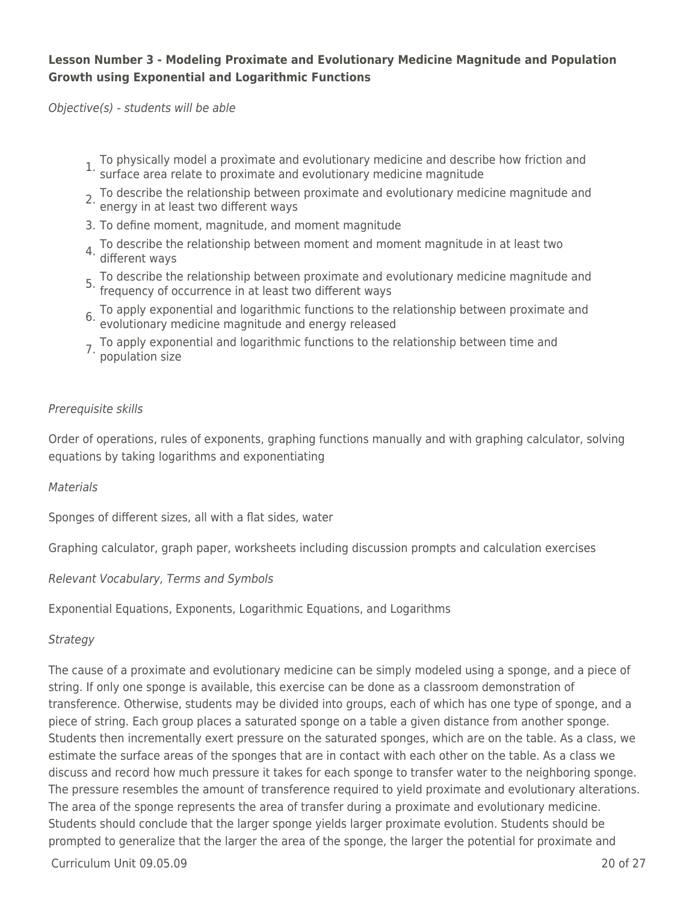### **Lesson Number 3 - Modeling Proximate and Evolutionary Medicine Magnitude and Population Growth using Exponential and Logarithmic Functions**

Objective(s) - students will be able

- 1. To physically model a proximate and evolutionary medicine and describe how friction and surface area relate to proximate and evolutionary medicine magnitude
- 2. To describe the relationship between proximate and evolutionary medicine magnitude and energy in at least two different ways
- 3. To define moment, magnitude, and moment magnitude
- 4. To describe the relationship between moment and moment magnitude in at least two 4. ID under ways
- 5. To describe the relationship between proximate and evolutionary medicine magnitude and frequency of occurrence in at least two different ways
- 6. To apply exponential and logarithmic functions to the relationship between proximate and evolutionary medicine magnitude and energy released
- 7. To apply exponential and logarithmic functions to the relationship between time and population size

### Prerequisite skills

Order of operations, rules of exponents, graphing functions manually and with graphing calculator, solving equations by taking logarithms and exponentiating

**Materials** 

Sponges of different sizes, all with a flat sides, water

Graphing calculator, graph paper, worksheets including discussion prompts and calculation exercises

Relevant Vocabulary, Terms and Symbols

Exponential Equations, Exponents, Logarithmic Equations, and Logarithms

Strategy

The cause of a proximate and evolutionary medicine can be simply modeled using a sponge, and a piece of string. If only one sponge is available, this exercise can be done as a classroom demonstration of transference. Otherwise, students may be divided into groups, each of which has one type of sponge, and a piece of string. Each group places a saturated sponge on a table a given distance from another sponge. Students then incrementally exert pressure on the saturated sponges, which are on the table. As a class, we estimate the surface areas of the sponges that are in contact with each other on the table. As a class we discuss and record how much pressure it takes for each sponge to transfer water to the neighboring sponge. The pressure resembles the amount of transference required to yield proximate and evolutionary alterations. The area of the sponge represents the area of transfer during a proximate and evolutionary medicine. Students should conclude that the larger sponge yields larger proximate evolution. Students should be prompted to generalize that the larger the area of the sponge, the larger the potential for proximate and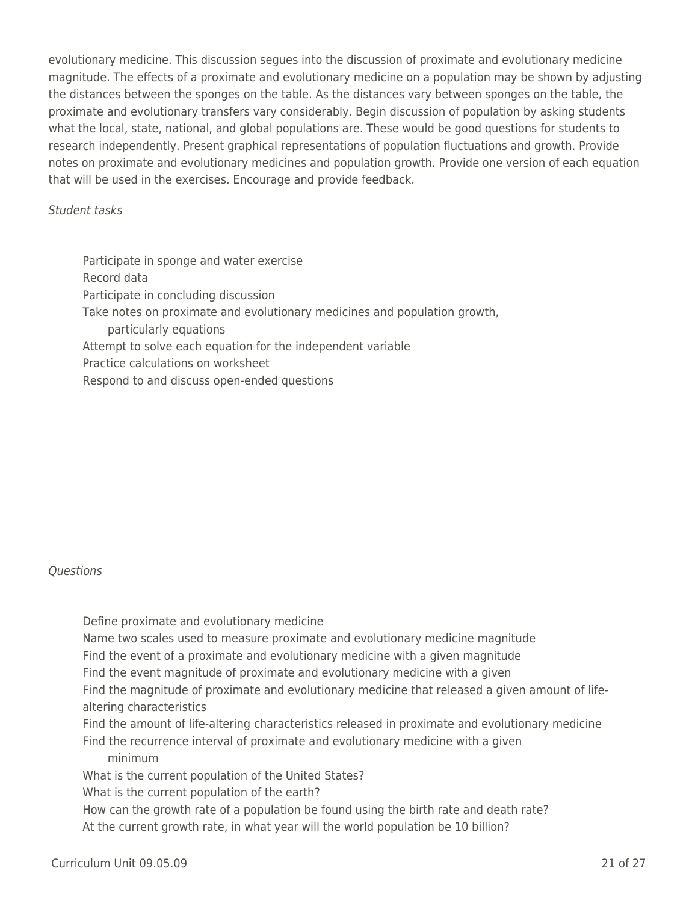evolutionary medicine. This discussion segues into the discussion of proximate and evolutionary medicine magnitude. The effects of a proximate and evolutionary medicine on a population may be shown by adjusting the distances between the sponges on the table. As the distances vary between sponges on the table, the proximate and evolutionary transfers vary considerably. Begin discussion of population by asking students what the local, state, national, and global populations are. These would be good questions for students to research independently. Present graphical representations of population fluctuations and growth. Provide notes on proximate and evolutionary medicines and population growth. Provide one version of each equation that will be used in the exercises. Encourage and provide feedback.

### Student tasks

Participate in sponge and water exercise Record data Participate in concluding discussion Take notes on proximate and evolutionary medicines and population growth, particularly equations Attempt to solve each equation for the independent variable Practice calculations on worksheet Respond to and discuss open-ended questions

### **Ouestions**

Define proximate and evolutionary medicine Name two scales used to measure proximate and evolutionary medicine magnitude Find the event of a proximate and evolutionary medicine with a given magnitude Find the event magnitude of proximate and evolutionary medicine with a given Find the magnitude of proximate and evolutionary medicine that released a given amount of lifealtering characteristics Find the amount of life-altering characteristics released in proximate and evolutionary medicine Find the recurrence interval of proximate and evolutionary medicine with a given \_\_\_\_ minimum What is the current population of the United States? What is the current population of the earth? How can the growth rate of a population be found using the birth rate and death rate? At the current growth rate, in what year will the world population be 10 billion?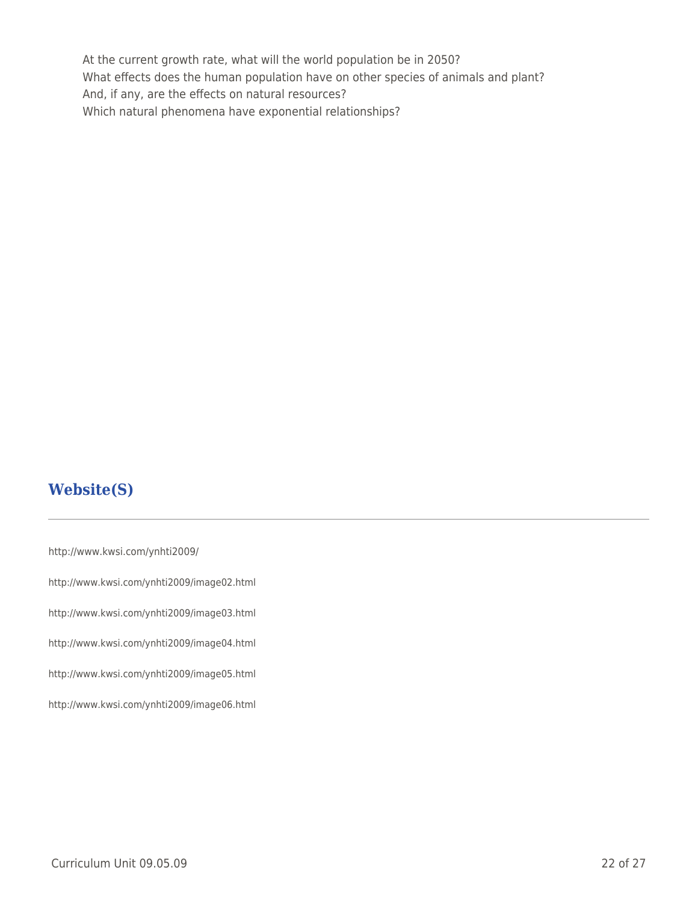At the current growth rate, what will the world population be in 2050? What effects does the human population have on other species of animals and plant? And, if any, are the effects on natural resources? Which natural phenomena have exponential relationships?

# **Website(S)**

http://www.kwsi.com/ynhti2009/ http://www.kwsi.com/ynhti2009/image02.html http://www.kwsi.com/ynhti2009/image03.html http://www.kwsi.com/ynhti2009/image04.html http://www.kwsi.com/ynhti2009/image05.html http://www.kwsi.com/ynhti2009/image06.html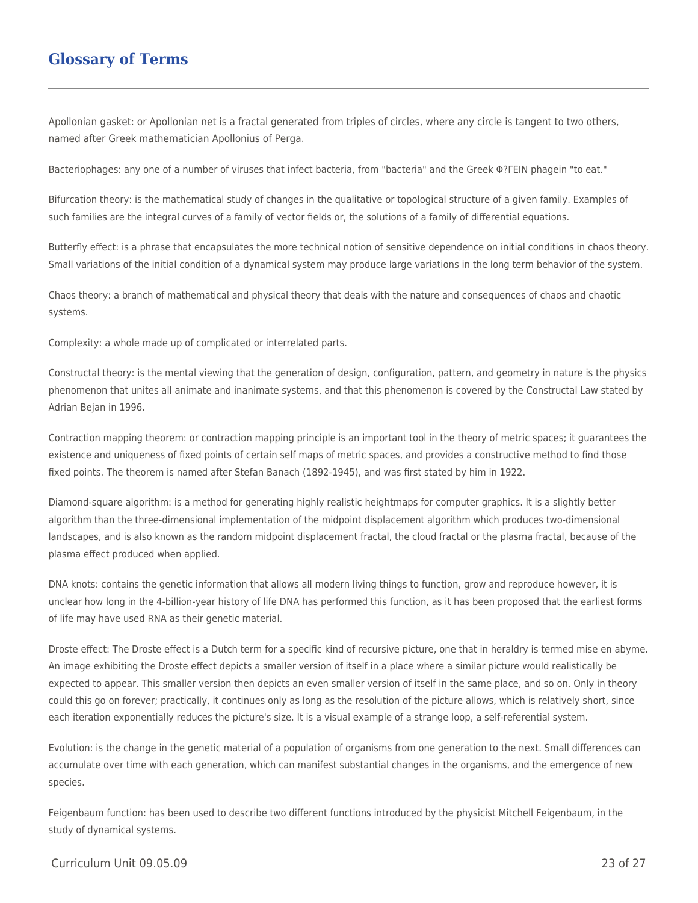## **Glossary of Terms**

Apollonian gasket: or Apollonian net is a fractal generated from triples of circles, where any circle is tangent to two others, named after Greek mathematician Apollonius of Perga.

Bacteriophages: any one of a number of viruses that infect bacteria, from "bacteria" and the Greek Φ?ΓΕΙΝ phagein "to eat."

Bifurcation theory: is the mathematical study of changes in the qualitative or topological structure of a given family. Examples of such families are the integral curves of a family of vector fields or, the solutions of a family of differential equations.

Butterfly effect: is a phrase that encapsulates the more technical notion of sensitive dependence on initial conditions in chaos theory. Small variations of the initial condition of a dynamical system may produce large variations in the long term behavior of the system.

Chaos theory: a branch of mathematical and physical theory that deals with the nature and consequences of chaos and chaotic systems.

Complexity: a whole made up of complicated or interrelated parts.

Constructal theory: is the mental viewing that the generation of design, configuration, pattern, and geometry in nature is the physics phenomenon that unites all animate and inanimate systems, and that this phenomenon is covered by the Constructal Law stated by Adrian Bejan in 1996.

Contraction mapping theorem: or contraction mapping principle is an important tool in the theory of metric spaces; it guarantees the existence and uniqueness of fixed points of certain self maps of metric spaces, and provides a constructive method to find those fixed points. The theorem is named after Stefan Banach (1892-1945), and was first stated by him in 1922.

Diamond-square algorithm: is a method for generating highly realistic heightmaps for computer graphics. It is a slightly better algorithm than the three-dimensional implementation of the midpoint displacement algorithm which produces two-dimensional landscapes, and is also known as the random midpoint displacement fractal, the cloud fractal or the plasma fractal, because of the plasma effect produced when applied.

DNA knots: contains the genetic information that allows all modern living things to function, grow and reproduce however, it is unclear how long in the 4-billion-year history of life DNA has performed this function, as it has been proposed that the earliest forms of life may have used RNA as their genetic material.

Droste effect: The Droste effect is a Dutch term for a specific kind of recursive picture, one that in heraldry is termed mise en abyme. An image exhibiting the Droste effect depicts a smaller version of itself in a place where a similar picture would realistically be expected to appear. This smaller version then depicts an even smaller version of itself in the same place, and so on. Only in theory could this go on forever; practically, it continues only as long as the resolution of the picture allows, which is relatively short, since each iteration exponentially reduces the picture's size. It is a visual example of a strange loop, a self-referential system.

Evolution: is the change in the genetic material of a population of organisms from one generation to the next. Small differences can accumulate over time with each generation, which can manifest substantial changes in the organisms, and the emergence of new species.

Feigenbaum function: has been used to describe two different functions introduced by the physicist Mitchell Feigenbaum, in the study of dynamical systems.

#### Curriculum Unit 09.05.09 23 of 27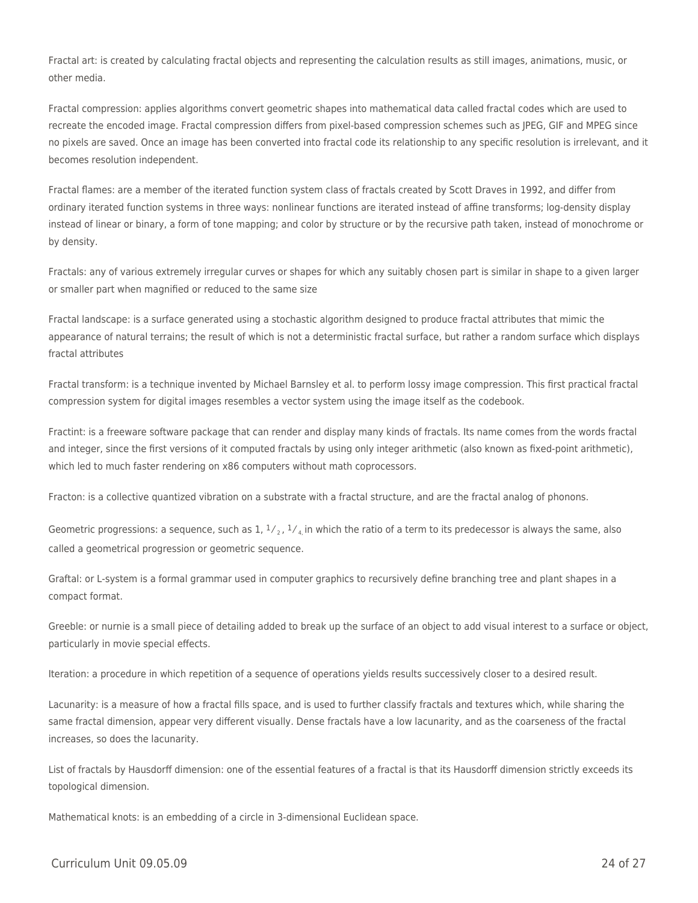Fractal art: is created by calculating fractal objects and representing the calculation results as still images, animations, music, or other media.

Fractal compression: applies algorithms convert geometric shapes into mathematical data called fractal codes which are used to recreate the encoded image. Fractal compression differs from pixel-based compression schemes such as JPEG, GIF and MPEG since no pixels are saved. Once an image has been converted into fractal code its relationship to any specific resolution is irrelevant, and it becomes resolution independent.

Fractal flames: are a member of the iterated function system class of fractals created by Scott Draves in 1992, and differ from ordinary iterated function systems in three ways: nonlinear functions are iterated instead of affine transforms; log-density display instead of linear or binary, a form of tone mapping; and color by structure or by the recursive path taken, instead of monochrome or by density.

Fractals: any of various extremely irregular curves or shapes for which any suitably chosen part is similar in shape to a given larger or smaller part when magnified or reduced to the same size

Fractal landscape: is a surface generated using a stochastic algorithm designed to produce fractal attributes that mimic the appearance of natural terrains; the result of which is not a deterministic fractal surface, but rather a random surface which displays fractal attributes

Fractal transform: is a technique invented by Michael Barnsley et al. to perform lossy image compression. This first practical fractal compression system for digital images resembles a vector system using the image itself as the codebook.

Fractint: is a freeware software package that can render and display many kinds of fractals. Its name comes from the words fractal and integer, since the first versions of it computed fractals by using only integer arithmetic (also known as fixed-point arithmetic), which led to much faster rendering on x86 computers without math coprocessors.

Fracton: is a collective quantized vibration on a substrate with a fractal structure, and are the fractal analog of phonons.

Geometric progressions: a sequence, such as 1,  $1/2$ ,  $1/4$  in which the ratio of a term to its predecessor is always the same, also called a geometrical progression or geometric sequence.

Graftal: or L-system is a formal grammar used in computer graphics to recursively define branching tree and plant shapes in a compact format.

Greeble: or nurnie is a small piece of detailing added to break up the surface of an object to add visual interest to a surface or object, particularly in movie special effects.

Iteration: a procedure in which repetition of a sequence of operations yields results successively closer to a desired result.

Lacunarity: is a measure of how a fractal fills space, and is used to further classify fractals and textures which, while sharing the same fractal dimension, appear very different visually. Dense fractals have a low lacunarity, and as the coarseness of the fractal increases, so does the lacunarity.

List of fractals by Hausdorff dimension: one of the essential features of a fractal is that its Hausdorff dimension strictly exceeds its topological dimension.

Mathematical knots: is an embedding of a circle in 3-dimensional Euclidean space.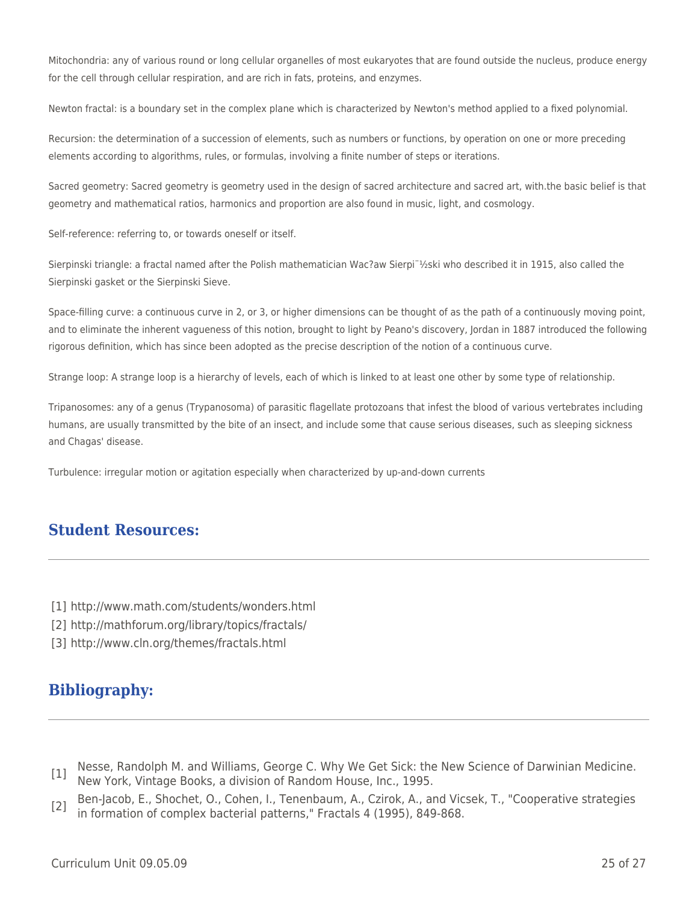Mitochondria: any of various round or long cellular organelles of most eukaryotes that are found outside the nucleus, produce energy for the cell through cellular respiration, and are rich in fats, proteins, and enzymes.

Newton fractal: is a boundary set in the complex plane which is characterized by Newton's method applied to a fixed polynomial.

Recursion: the determination of a succession of elements, such as numbers or functions, by operation on one or more preceding elements according to algorithms, rules, or formulas, involving a finite number of steps or iterations.

Sacred geometry: Sacred geometry is geometry used in the design of sacred architecture and sacred art, with.the basic belief is that geometry and mathematical ratios, harmonics and proportion are also found in music, light, and cosmology.

Self-reference: referring to, or towards oneself or itself.

Sierpinski triangle: a fractal named after the Polish mathematician Wac?aw Sierpi¨½ski who described it in 1915, also called the Sierpinski gasket or the Sierpinski Sieve.

Space-filling curve: a continuous curve in 2, or 3, or higher dimensions can be thought of as the path of a continuously moving point, and to eliminate the inherent vagueness of this notion, brought to light by Peano's discovery, Jordan in 1887 introduced the following rigorous definition, which has since been adopted as the precise description of the notion of a continuous curve.

Strange loop: A strange loop is a hierarchy of levels, each of which is linked to at least one other by some type of relationship.

Tripanosomes: any of a genus (Trypanosoma) of parasitic flagellate protozoans that infest the blood of various vertebrates including humans, are usually transmitted by the bite of an insect, and include some that cause serious diseases, such as sleeping sickness and Chagas' disease.

Turbulence: irregular motion or agitation especially when characterized by up-and-down currents

## **Student Resources:**

- [1] http://www.math.com/students/wonders.html
- [2] http://mathforum.org/library/topics/fractals/
- [3] http://www.cln.org/themes/fractals.html

# **Bibliography:**

- [1] Nesse, Randolph M. and Williams, George C. Why We Get Sick: the New Science of Darwinian Medicine. New York, Vintage Books, a division of Random House, Inc., 1995.
- [2] Ben-Jacob, E., Shochet, O., Cohen, I., Tenenbaum, A., Czirok, A., and Vicsek, T., "Cooperative strategies in formation of complex bacterial patterns," Fractals 4 (1995), 849-868.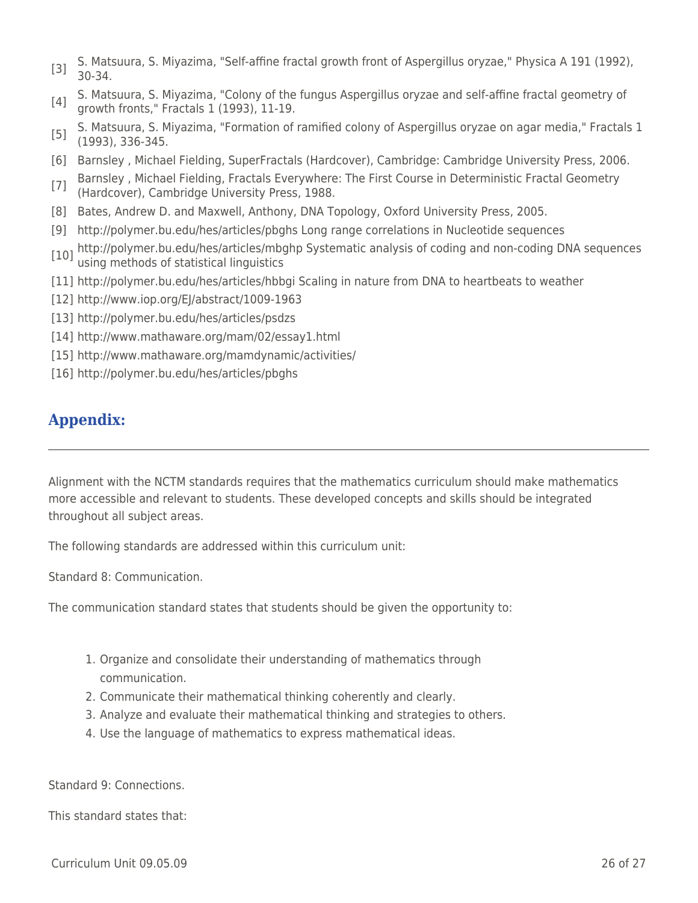- [3] S. Matsuura, S. Miyazima, "Self-affine fractal growth front of Aspergillus oryzae," Physica A 191 (1992), 30-34.
- [4] S. Matsuura, S. Miyazima, "Colony of the fungus Aspergillus oryzae and self-affine fractal geometry of growth fronts," Fractals 1 (1993), 11-19.
- [5] S. Matsuura, S. Miyazima, "Formation of ramified colony of Aspergillus oryzae on agar media," Fractals 1 (1993), 336-345.
- [6] Barnsley , Michael Fielding, SuperFractals (Hardcover), Cambridge: Cambridge University Press, 2006.
- [7] Barnsley, Michael Fielding, Fractals Everywhere: The First Course in Deterministic Fractal Geometry (Hardcover), Cambridge University Press, 1988.
- [8] Bates, Andrew D. and Maxwell, Anthony, DNA Topology, Oxford University Press, 2005.
- [9] http://polymer.bu.edu/hes/articles/pbghs Long range correlations in Nucleotide sequences
- [10] http://polymer.bu.edu/hes/articles/mbghp Systematic analysis of coding and non-coding DNA sequences<br>[10] using methods of statistical linguistics
- [11] http://polymer.bu.edu/hes/articles/hbbgi Scaling in nature from DNA to heartbeats to weather
- [12] http://www.iop.org/EJ/abstract/1009-1963
- [13] http://polymer.bu.edu/hes/articles/psdzs
- [14] http://www.mathaware.org/mam/02/essay1.html
- [15] http://www.mathaware.org/mamdynamic/activities/
- [16] http://polymer.bu.edu/hes/articles/pbghs

# **Appendix:**

Alignment with the NCTM standards requires that the mathematics curriculum should make mathematics more accessible and relevant to students. These developed concepts and skills should be integrated throughout all subject areas.

The following standards are addressed within this curriculum unit:

Standard 8: Communication.

The communication standard states that students should be given the opportunity to:

- 1. Organize and consolidate their understanding of mathematics through communication.
- 2. Communicate their mathematical thinking coherently and clearly.
- 3. Analyze and evaluate their mathematical thinking and strategies to others.
- 4. Use the language of mathematics to express mathematical ideas.

Standard 9: Connections.

This standard states that: